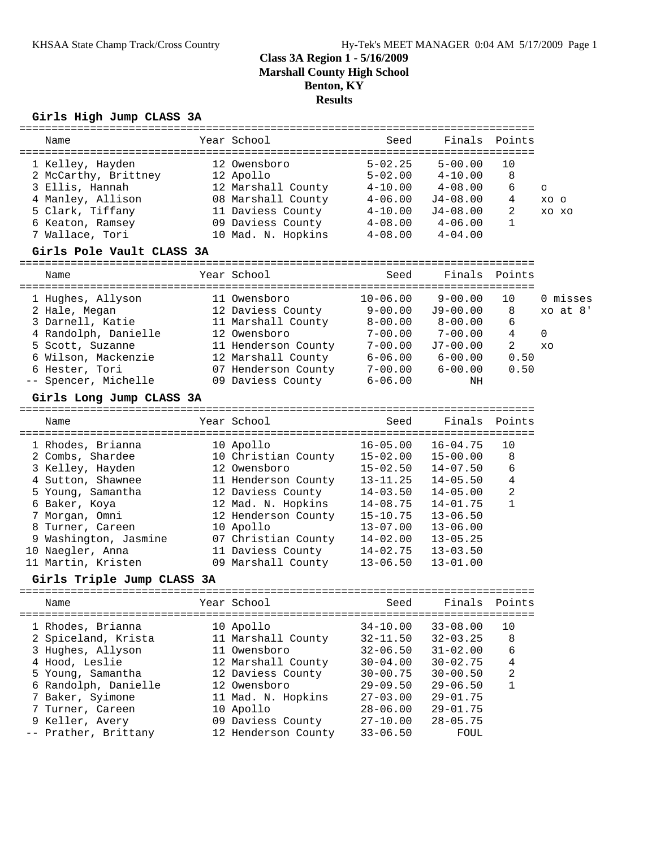#### **Girls High Jump CLASS 3A**

| Name                 | Year School        | Seed        | Finals       | Points |          |
|----------------------|--------------------|-------------|--------------|--------|----------|
| 1 Kelley, Hayden     | 12 Owensboro       | $5 - 02.25$ | $5 - 00.00$  | 10     |          |
| 2 McCarthy, Brittney | 12 Apollo          | $5 - 02.00$ | $4 - 10.00$  | 8      |          |
| 3 Ellis, Hannah      | 12 Marshall County | $4 - 10.00$ | $4 - 08.00$  | 6      | $\Omega$ |
| 4 Manley, Allison    | 08 Marshall County | $4 - 06.00$ | $J4 - 08.00$ | 4      | xo o     |
| 5 Clark, Tiffany     | 11 Daviess County  | $4 - 10.00$ | $J4 - 08.00$ | 2      | XO XO    |
| 6 Keaton, Ramsey     | 09 Daviess County  | $4 - 08.00$ | $4 - 06.00$  |        |          |
| 7 Wallace, Tori      | 10 Mad. N. Hopkins | $4 - 08.00$ | $4 - 04.00$  |        |          |

#### **Girls Pole Vault CLASS 3A**

| Name                 | Year School         | Seed         | Finals Points |      |              |
|----------------------|---------------------|--------------|---------------|------|--------------|
| 1 Hughes, Allyson    | 11 Owensboro        | $10 - 06.00$ | $9 - 00.00$   | 10   | 0 misses     |
| 2 Hale, Megan        | 12 Daviess County   | $9 - 00.00$  | $J9-00.00$    | 8    | $xo$ at $8'$ |
| 3 Darnell, Katie     | 11 Marshall County  | $8 - 00.00$  | $8 - 00.00$   | 6    |              |
| 4 Randolph, Danielle | 12 Owensboro        | $7 - 00.00$  | $7 - 00.00$   | 4    | $\Omega$     |
| 5 Scott, Suzanne     | 11 Henderson County | $7 - 00.00$  | $J7-00.00$    | 2    | XO           |
| 6 Wilson, Mackenzie  | 12 Marshall County  | $6 - 06.00$  | $6 - 00.00$   | 0.50 |              |
| 6 Hester, Tori       | 07 Henderson County | $7 - 00.00$  | $6 - 00.00$   | 0.50 |              |
| -- Spencer, Michelle | 09 Daviess County   | $6 - 06.00$  | ΝH            |      |              |

#### **Girls Long Jump CLASS 3A**

| Name                  | Year School         | Seed         | Finals       | Points         |
|-----------------------|---------------------|--------------|--------------|----------------|
| 1 Rhodes, Brianna     | 10 Apollo           | $16 - 05.00$ | $16 - 04.75$ | 10             |
| 2 Combs, Shardee      | 10 Christian County | $15 - 02.00$ | $15 - 00.00$ | 8              |
| 3 Kelley, Hayden      | 12 Owensboro        | $15 - 02.50$ | $14 - 07.50$ | 6              |
| 4 Sutton, Shawnee     | 11 Henderson County | $13 - 11.25$ | $14 - 05.50$ | 4              |
| 5 Young, Samantha     | 12 Daviess County   | $14 - 03.50$ | $14 - 05.00$ | $\overline{2}$ |
| 6 Baker, Koya         | 12 Mad. N. Hopkins  | $14 - 08.75$ | $14 - 01.75$ |                |
| 7 Morgan, Omni        | 12 Henderson County | $15 - 10.75$ | $13 - 06.50$ |                |
| 8 Turner, Careen      | 10 Apollo           | $13 - 07.00$ | $13 - 06.00$ |                |
| 9 Washington, Jasmine | 07 Christian County | $14 - 02.00$ | $13 - 05.25$ |                |
| 10 Naegler, Anna      | 11 Daviess County   | $14 - 02.75$ | $13 - 03.50$ |                |
| 11 Martin, Kristen    | 09 Marshall County  | $13 - 06.50$ | $13 - 01.00$ |                |

#### **Girls Triple Jump CLASS 3A**

| Name                                     | Year School                     | Seed                         | Finals Points                |                |
|------------------------------------------|---------------------------------|------------------------------|------------------------------|----------------|
| 1 Rhodes, Brianna                        | 10 Apollo<br>11 Marshall County | $34 - 10.00$<br>$32 - 11.50$ | $33 - 08.00$<br>$32 - 03.25$ | 10<br>8        |
| 2 Spiceland, Krista<br>3 Hughes, Allyson | 11 Owensboro                    | $32 - 06.50$                 | $31 - 02.00$                 | 6              |
| 4 Hood, Leslie                           | 12 Marshall County              | $30 - 04.00$                 | $30 - 02.75$                 | 4              |
| 5 Young, Samantha                        | 12 Daviess County               | $30 - 00.75$                 | $30 - 00.50$                 | $\mathfrak{D}$ |
| 6 Randolph, Danielle                     | 12 Owensboro                    | $29 - 09.50$                 | $29 - 06.50$<br>$29 - 01.75$ |                |
| 7 Baker, Syimone<br>7 Turner, Careen     | 11 Mad. N. Hopkins<br>10 Apollo | $27 - 03.00$<br>$28 - 06.00$ | $29 - 01.75$                 |                |
| 9 Keller, Avery                          | 09 Daviess County               | $27 - 10.00$                 | $28 - 05.75$                 |                |
| -- Prather, Brittany                     | 12 Henderson County             | $33 - 06.50$                 | FOUL                         |                |
|                                          |                                 |                              |                              |                |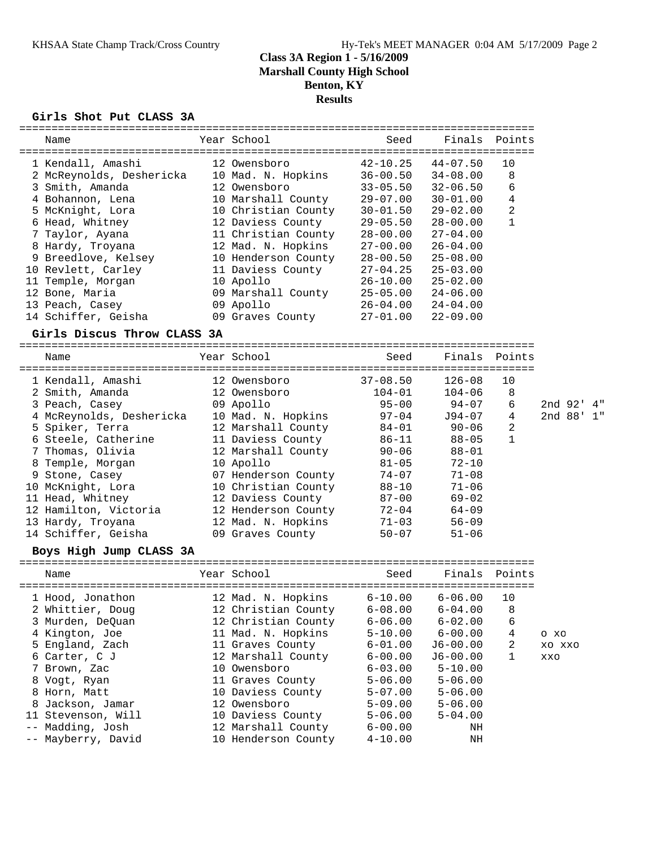================================================================================

#### **Girls Shot Put CLASS 3A**

| Name                                                                                                                                                                                                                                                                                                                            | Year School                                                                                                                                                                                                                                                                       | Seed                                                                                                                                                                       | Finals                                                                                                                                                                            | Points                                 |                          |
|---------------------------------------------------------------------------------------------------------------------------------------------------------------------------------------------------------------------------------------------------------------------------------------------------------------------------------|-----------------------------------------------------------------------------------------------------------------------------------------------------------------------------------------------------------------------------------------------------------------------------------|----------------------------------------------------------------------------------------------------------------------------------------------------------------------------|-----------------------------------------------------------------------------------------------------------------------------------------------------------------------------------|----------------------------------------|--------------------------|
| 1 Kendall, Amashi<br>2 McReynolds, Deshericka<br>3 Smith, Amanda<br>4 Bohannon, Lena<br>5 McKnight, Lora<br>6 Head, Whitney<br>7 Taylor, Ayana<br>8 Hardy, Troyana                                                                                                                                                              | 12 Owensboro<br>10 Mad. N. Hopkins<br>12 Owensboro<br>10 Marshall County<br>10 Christian County<br>12 Daviess County<br>11 Christian County<br>12 Mad. N. Hopkins                                                                                                                 | $42 - 10.25$<br>$36 - 00.50$<br>$33 - 05.50$<br>$29 - 07.00$<br>$30 - 01.50$<br>$29 - 05.50$<br>$28 - 00.00$<br>$27 - 00.00$                                               | =======================<br>$44 - 07.50$<br>$34 - 08.00$<br>$32 - 06.50$<br>$30 - 01.00$<br>$29 - 02.00$<br>$28 - 00.00$<br>$27 - 04.00$<br>$26 - 04.00$                           | 10<br>8<br>6<br>4<br>2<br>$\mathbf{1}$ |                          |
| 9 Breedlove, Kelsey<br>10 Revlett, Carley<br>11 Temple, Morgan                                                                                                                                                                                                                                                                  | 10 Henderson County<br>11 Daviess County<br>10 Apollo                                                                                                                                                                                                                             | $28 - 00.50$<br>$27 - 04.25$<br>$26 - 10.00$                                                                                                                               | $25 - 08.00$<br>$25 - 03.00$<br>$25 - 02.00$                                                                                                                                      |                                        |                          |
| 12 Bone, Maria<br>13 Peach, Casey<br>14 Schiffer, Geisha                                                                                                                                                                                                                                                                        | 09 Marshall County<br>09 Apollo<br>09 Graves County                                                                                                                                                                                                                               | $25 - 05.00$<br>$26 - 04.00$<br>$27 - 01.00$                                                                                                                               | $24 - 06.00$<br>$24 - 04.00$<br>$22 - 09.00$                                                                                                                                      |                                        |                          |
| Girls Discus Throw CLASS 3A                                                                                                                                                                                                                                                                                                     |                                                                                                                                                                                                                                                                                   |                                                                                                                                                                            |                                                                                                                                                                                   |                                        |                          |
| Name                                                                                                                                                                                                                                                                                                                            | Year School                                                                                                                                                                                                                                                                       | Seed                                                                                                                                                                       | Finals                                                                                                                                                                            | Points                                 |                          |
| 1 Kendall, Amashi<br>2 Smith, Amanda<br>3 Peach, Casey<br>4 McReynolds, Deshericka<br>5 Spiker, Terra<br>6 Steele, Catherine<br>7 Thomas, Olivia<br>8 Temple, Morgan<br>9 Stone, Casey<br>10 McKnight, Lora<br>11 Head, Whitney<br>12 Hamilton, Victoria<br>13 Hardy, Troyana<br>14 Schiffer, Geisha<br>Boys High Jump CLASS 3A | 12 Owensboro<br>12 Owensboro<br>09 Apollo<br>10 Mad. N. Hopkins<br>12 Marshall County<br>11 Daviess County<br>12 Marshall County<br>10 Apollo<br>07 Henderson County<br>10 Christian County<br>12 Daviess County<br>12 Henderson County<br>12 Mad. N. Hopkins<br>09 Graves County | $37 - 08.50$<br>$104 - 01$<br>$95 - 00$<br>$97 - 04$<br>84-01<br>86-11<br>$90 - 06$<br>$81 - 05$<br>$74 - 07$<br>$88 - 10$<br>$87 - 00$<br>72-04<br>$71 - 03$<br>$50 - 07$ | $126 - 08$<br>$104 - 06$<br>$94 - 07$<br>J94-07<br>$90 - 06$<br>$88 - 05$<br>$88 - 01$<br>$72 - 10$<br>$71 - 08$<br>$71 - 06$<br>$69 - 02$<br>$64 - 09$<br>$56 - 09$<br>$51 - 06$ | 10<br>8<br>6<br>4<br>2<br>1            | 2nd 92' 4"<br>2nd 88' 1" |
| Name                                                                                                                                                                                                                                                                                                                            | Year School                                                                                                                                                                                                                                                                       | Seed                                                                                                                                                                       | Finals                                                                                                                                                                            | Points                                 |                          |
| 1 Hood, Jonathon<br>2 Whittier, Doug<br>3 Murden, DeQuan<br>4 Kington, Joe<br>5 England, Zach<br>6 Carter, C J<br>7 Brown, Zac<br>8 Vogt, Ryan<br>8 Horn, Matt<br>8 Jackson, Jamar<br>11 Stevenson, Will                                                                                                                        | 12 Mad. N. Hopkins<br>12 Christian County<br>12 Christian County<br>11 Mad. N. Hopkins<br>11 Graves County<br>12 Marshall County<br>10 Owensboro<br>11 Graves County<br>10 Daviess County<br>12 Owensboro<br>10 Daviess County                                                    | $6 - 10.00$<br>$6 - 08.00$<br>$6 - 06.00$<br>$5 - 10.00$<br>$6 - 01.00$<br>$6 - 00.00$<br>$6 - 03.00$<br>$5 - 06.00$<br>$5 - 07.00$<br>$5 - 09.00$<br>$5 - 06.00$          | $6 - 06.00$<br>$6 - 04.00$<br>$6 - 02.00$<br>$6 - 00.00$<br>$J6 - 00.00$<br>$J6 - 00.00$<br>$5 - 10.00$<br>$5 - 06.00$<br>$5 - 06.00$<br>$5 - 06.00$<br>$5 - 04.00$               | 10<br>8<br>6<br>4<br>2<br>1            | O XO<br>XO XXO<br>XXO    |
| Madding, Josh<br>$- -$<br>Mayberry, David<br>$ -$                                                                                                                                                                                                                                                                               | 12 Marshall County<br>10 Henderson County                                                                                                                                                                                                                                         | $6 - 00.00$<br>$4 - 10.00$                                                                                                                                                 | ΝH<br>ΝH                                                                                                                                                                          |                                        |                          |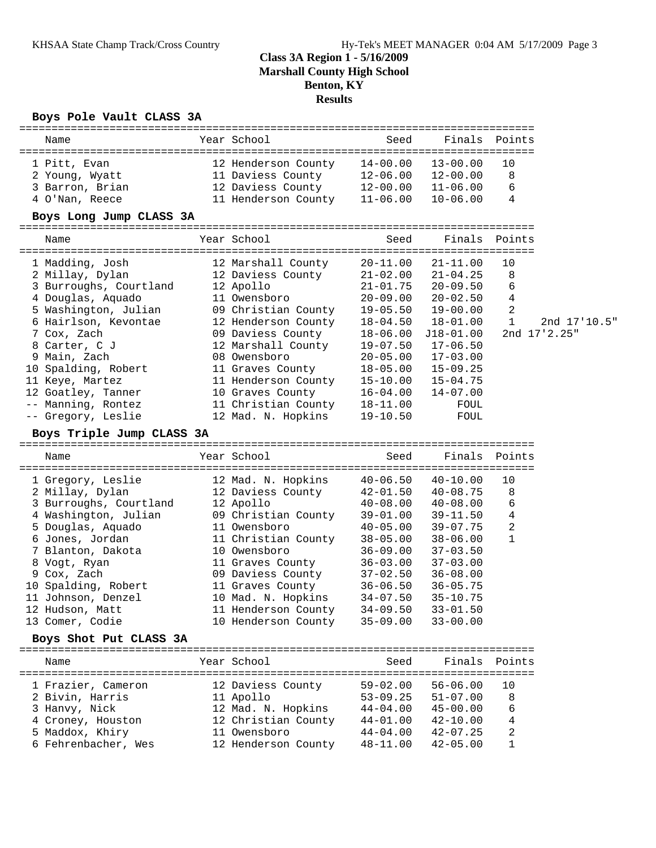### **Boys Pole Vault CLASS 3A**

| Name                                      | Year School                         | Seed                         | Finals                       | Points           |              |
|-------------------------------------------|-------------------------------------|------------------------------|------------------------------|------------------|--------------|
| 1 Pitt, Evan                              | 12 Henderson County                 | $14 - 00.00$                 | $13 - 00.00$                 | 10               |              |
| 2 Young, Wyatt                            | 11 Daviess County                   | $12 - 06.00$                 | 12-00.00                     | 8                |              |
| 3 Barron, Brian                           | 12 Daviess County                   | $12 - 00.00$                 | $11 - 06.00$                 | 6                |              |
| 4 O'Nan, Reece                            | 11 Henderson County                 | $11 - 06.00$                 | $10 - 06.00$                 | 4                |              |
| Boys Long Jump CLASS 3A                   |                                     |                              |                              |                  |              |
|                                           |                                     |                              |                              |                  |              |
| Name                                      | Year School                         | Seed                         | Finals                       | Points           |              |
| 1 Madding, Josh                           | 12 Marshall County                  | $20 - 11.00$                 | $21 - 11.00$                 | 10               |              |
| 2 Millay, Dylan                           | 12 Daviess County                   | $21 - 02.00$                 | $21 - 04.25$                 | 8                |              |
| 3 Burroughs, Courtland                    | 12 Apollo                           | $21 - 01.75$                 | $20 - 09.50$                 | 6                |              |
| 4 Douglas, Aquado                         | 11 Owensboro                        | $20 - 09.00$                 | $20 - 02.50$                 | 4                |              |
| 5 Washington, Julian                      | 09 Christian County                 | 19-05.50                     | $19 - 00.00$                 | $\overline{c}$   |              |
| 6 Hairlson, Kevontae                      | 12 Henderson County                 | $18 - 04.50$                 | 18-01.00                     | $\mathbf{1}$     | 2nd 17'10.5" |
| 7 Cox, Zach                               | 09 Daviess County                   | 18-06.00                     | J18-01.00                    |                  | 2nd 17'2.25" |
| 8 Carter, C J                             | 12 Marshall County                  | $19 - 07.50$                 | $17 - 06.50$                 |                  |              |
| 9 Main, Zach                              | 08 Owensboro                        | $20 - 05.00$                 | $17 - 03.00$                 |                  |              |
| 10 Spalding, Robert                       | 11 Graves County                    | $18 - 05.00$                 | $15 - 09.25$                 |                  |              |
| 11 Keye, Martez                           | 11 Henderson County                 | 15-10.00                     | $15 - 04.75$                 |                  |              |
| 12 Goatley, Tanner                        | 10 Graves County                    | 16-04.00                     | $14 - 07.00$                 |                  |              |
| -- Manning, Rontez                        | 11 Christian County                 | 18-11.00                     | FOUL                         |                  |              |
| -- Gregory, Leslie                        | 12 Mad. N. Hopkins                  | $19 - 10.50$                 | FOUL                         |                  |              |
| Boys Triple Jump CLASS 3A                 |                                     |                              |                              |                  |              |
|                                           |                                     |                              |                              |                  |              |
| Name                                      | Year School                         | Seed                         | Finals                       | Points           |              |
|                                           |                                     |                              | $40 - 10.00$                 | 10               |              |
| 1 Gregory, Leslie                         | 12 Mad. N. Hopkins                  | $40 - 06.50$                 |                              | 8                |              |
| 2 Millay, Dylan                           | 12 Daviess County                   | $42 - 01.50$                 | $40 - 08.75$                 | 6                |              |
| 3 Burroughs, Courtland                    | 12 Apollo<br>09 Christian County    | $40 - 08.00$<br>$39 - 01.00$ | $40 - 08.00$<br>$39 - 11.50$ | 4                |              |
| 4 Washington, Julian<br>5 Douglas, Aquado | 11 Owensboro                        | $40 - 05.00$                 | $39 - 07.75$                 | $\boldsymbol{2}$ |              |
| 6 Jones, Jordan                           | 11 Christian County                 | $38 - 05.00$                 | $38 - 06.00$                 | 1                |              |
| 7 Blanton, Dakota                         | 10 Owensboro                        | 36-09.00                     | $37 - 03.50$                 |                  |              |
| 8 Vogt, Ryan                              | 11 Graves County                    | $36 - 03.00$                 | $37 - 03.00$                 |                  |              |
| 9 Cox, Zach                               | 09 Daviess County                   | $37 - 02.50$                 | $36 - 08.00$                 |                  |              |
| 10 Spalding, Robert                       | 11 Graves County                    | $36 - 06.50$                 | $36 - 05.75$                 |                  |              |
| 11 Johnson, Denzel                        | 10 Mad. N. Hopkins                  | $34 - 07.50$                 | $35 - 10.75$                 |                  |              |
| 12 Hudson, Matt                           | 11 Henderson County                 | $34 - 09.50$                 | $33 - 01.50$                 |                  |              |
| 13 Comer, Codie                           | 10 Henderson County                 | $35 - 09.00$                 | $33 - 00.00$                 |                  |              |
| Boys Shot Put CLASS 3A                    |                                     |                              |                              |                  |              |
| Name                                      | Year School                         | Seed                         |                              | Finals Points    |              |
|                                           |                                     |                              |                              | 10               |              |
| 1 Frazier, Cameron                        | 12 Daviess County                   | $59 - 02.00$                 | $56 - 06.00$                 |                  |              |
| 2 Bivin, Harris                           | 11 Apollo                           | $53 - 09.25$                 | $51 - 07.00$                 | 8                |              |
| 3 Hanvy, Nick                             | 12 Mad. N. Hopkins                  | $44 - 04.00$<br>$44 - 01.00$ | $45 - 00.00$<br>$42 - 10.00$ | 6<br>4           |              |
| 4 Croney, Houston<br>5 Maddox, Khiry      | 12 Christian County<br>11 Owensboro | $44 - 04.00$                 | $42 - 07.25$                 | 2                |              |